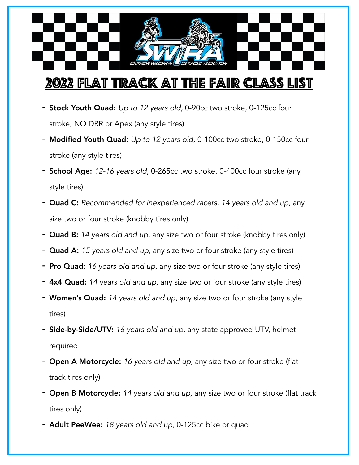## 2022 Flat Track at the Fair Class List

- Stock Youth Quad: *Up to 12 years old,* 0-90cc two stroke, 0-125cc four stroke, NO DRR or Apex (any style tires)
- Modified Youth Quad: *Up to 12 years old,* 0-100cc two stroke, 0-150cc four stroke (any style tires)
- School Age: *12-16 years old,* 0-265cc two stroke, 0-400cc four stroke (any style tires)
- Quad C: *Recommended for inexperienced racers, 14 years old and up,* any size two or four stroke (knobby tires only)
- Quad B: *14 years old and up,* any size two or four stroke (knobby tires only)
- Quad A: *15 years old and up,* any size two or four stroke (any style tires)
- Pro Quad: *16 years old and up,* any size two or four stroke (any style tires)
- 4x4 Quad: *14 years old and up,* any size two or four stroke (any style tires)
- Women's Quad: *14 years old and up,* any size two or four stroke (any style tires)
- Side-by-Side/UTV: *16 years old and up,* any state approved UTV, helmet required!
- Open A Motorcycle: *16 years old and up,* any size two or four stroke (flat track tires only)
- Open B Motorcycle: *14 years old and up,* any size two or four stroke (flat track tires only)
- Adult PeeWee: *18 years old and up,* 0-125cc bike or quad